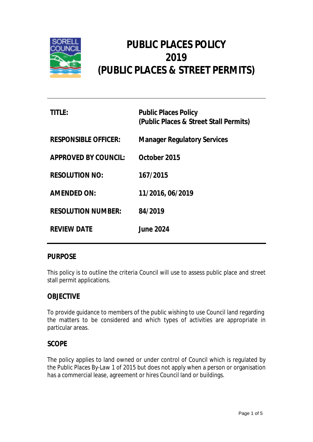

# **PUBLIC PLACES POLICY 2019 (PUBLIC PLACES & STREET PERMITS)**

| TITLE:                      | <b>Public Places Policy</b><br>(Public Places & Street Stall Permits) |
|-----------------------------|-----------------------------------------------------------------------|
| <b>RESPONSIBLE OFFICER:</b> | <b>Manager Regulatory Services</b>                                    |
| <b>APPROVED BY COUNCIL:</b> | October 2015                                                          |
| <b>RESOLUTION NO:</b>       | 167/2015                                                              |
| <b>AMENDED ON:</b>          | 11/2016, 06/2019                                                      |
| <b>RESOLUTION NUMBER:</b>   | 84/2019                                                               |
| <b>REVIEW DATE</b>          | <b>June 2024</b>                                                      |

## **PURPOSE**

This policy is to outline the criteria Council will use to assess public place and street stall permit applications.

## **OBJECTIVE**

To provide guidance to members of the public wishing to use Council land regarding the matters to be considered and which types of activities are appropriate in particular areas.

## **SCOPE**

The policy applies to land owned or under control of Council which is regulated by the *Public Places By-Law 1 of 2015* but does not apply when a person or organisation has a commercial lease, agreement or hires Council land or buildings.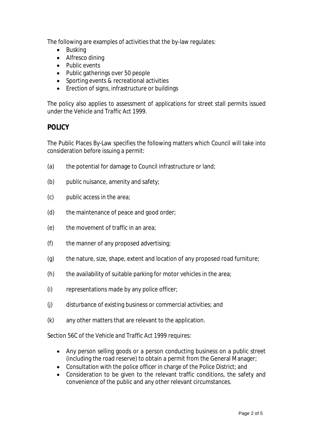The following are examples of activities that the by-law regulates:

- Busking
- Alfresco dining
- Public events
- Public gatherings over 50 people
- Sporting events & recreational activities
- Erection of signs, infrastructure or buildings

The policy also applies to assessment of applications for street stall permits issued under the *Vehicle and Traffic Act 1999*.

# **POLICY**

The Public Places By-Law specifies the following matters which Council will take into consideration before issuing a permit:

- (a) the potential for damage to Council infrastructure or land;
- (b) public nuisance, amenity and safety;
- (c) public access in the area;
- (d) the maintenance of peace and good order;
- (e) the movement of traffic in an area;
- (f) the manner of any proposed advertising;
- (g) the nature, size, shape, extent and location of any proposed road furniture;
- (h) the availability of suitable parking for motor vehicles in the area;
- (i) representations made by any police officer;
- (j) disturbance of existing business or commercial activities; and
- (k) any other matters that are relevant to the application.

Section 56C of the *Vehicle and Traffic Act 1999* requires:

- Any person selling goods or a person conducting business on a public street (including the road reserve) to obtain a permit from the General Manager;
- Consultation with the police officer in charge of the Police District; and
- Consideration to be given to the relevant traffic conditions, the safety and convenience of the public and any other relevant circumstances.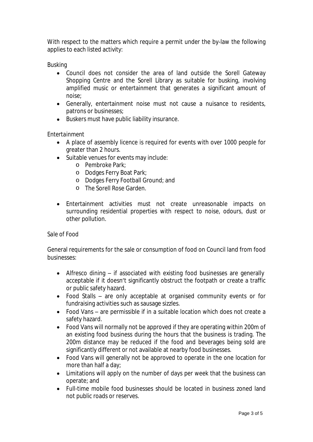With respect to the matters which require a permit under the by-law the following applies to each listed activity:

### *Busking*

- Council does not consider the area of land outside the Sorell Gateway Shopping Centre and the Sorell Library as suitable for busking, involving amplified music or entertainment that generates a significant amount of noise;
- Generally, entertainment noise must not cause a nuisance to residents, patrons or businesses;
- Buskers must have public liability insurance.

### *Entertainment*

- A place of assembly licence is required for events with over 1000 people for greater than 2 hours.
- Suitable venues for events may include:
	- o Pembroke Park;
	- o Dodges Ferry Boat Park;
	- o Dodges Ferry Football Ground; and
	- o The Sorell Rose Garden.
- Entertainment activities must not create unreasonable impacts on surrounding residential properties with respect to noise, odours, dust or other pollution.

#### *Sale of Food*

General requirements for the sale or consumption of food on Council land from food businesses:

- Alfresco dining if associated with existing food businesses are generally acceptable if it doesn't significantly obstruct the footpath or create a traffic or public safety hazard.
- Food Stalls are only acceptable at organised community events or for fundraising activities such as sausage sizzles.
- Food Vans are permissible if in a suitable location which does not create a safety hazard.
- Food Vans will normally not be approved if they are operating within 200m of an existing food business during the hours that the business is trading. The 200m distance may be reduced if the food and beverages being sold are significantly different or not available at nearby food businesses.
- Food Vans will generally not be approved to operate in the one location for more than half a day;
- Limitations will apply on the number of days per week that the business can operate; and
- Full-time mobile food businesses should be located in business zoned land not public roads or reserves.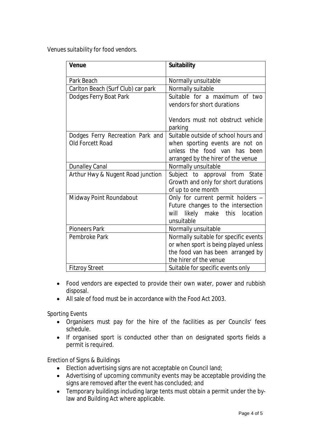*Venues suitability for food vendors.*

| <b>Venue</b>                                         | <b>Suitability</b>                                                                                                                            |
|------------------------------------------------------|-----------------------------------------------------------------------------------------------------------------------------------------------|
| Park Beach                                           | Normally unsuitable                                                                                                                           |
| Carlton Beach (Surf Club) car park                   | Normally suitable                                                                                                                             |
| Dodges Ferry Boat Park                               | Suitable for a maximum of two<br>vendors for short durations                                                                                  |
|                                                      | Vendors must not obstruct vehicle<br>parking                                                                                                  |
| Dodges Ferry Recreation Park and<br>Old Forcett Road | Suitable outside of school hours and<br>when sporting events are not on<br>unless the food van has been<br>arranged by the hirer of the venue |
| <b>Dunalley Canal</b>                                | Normally unsuitable                                                                                                                           |
| Arthur Hwy & Nugent Road junction                    | Subject to approval from State<br>Growth and only for short durations<br>of up to one month                                                   |
| Midway Point Roundabout                              | Only for current permit holders -<br>Future changes to the intersection<br>will<br>likely<br>this<br>location<br>make<br>unsuitable           |
| <b>Pioneers Park</b>                                 | Normally unsuitable                                                                                                                           |
| Pembroke Park                                        | Normally suitable for specific events<br>or when sport is being played unless<br>the food van has been arranged by<br>the hirer of the venue  |
| <b>Fitzroy Street</b>                                | Suitable for specific events only                                                                                                             |

- Food vendors are expected to provide their own water, power and rubbish disposal.
- All sale of food must be in accordance with the *Food Act 2003*.

*Sporting Events*

- Organisers must pay for the hire of the facilities as per Councils' fees schedule.
- If organised sport is conducted other than on designated sports fields a permit is required.

*Erection of Signs & Buildings*

- Election advertising signs are not acceptable on Council land;
- Advertising of upcoming community events may be acceptable providing the signs are removed after the event has concluded; and
- Temporary buildings including large tents must obtain a permit under the bylaw and Building Act where applicable.